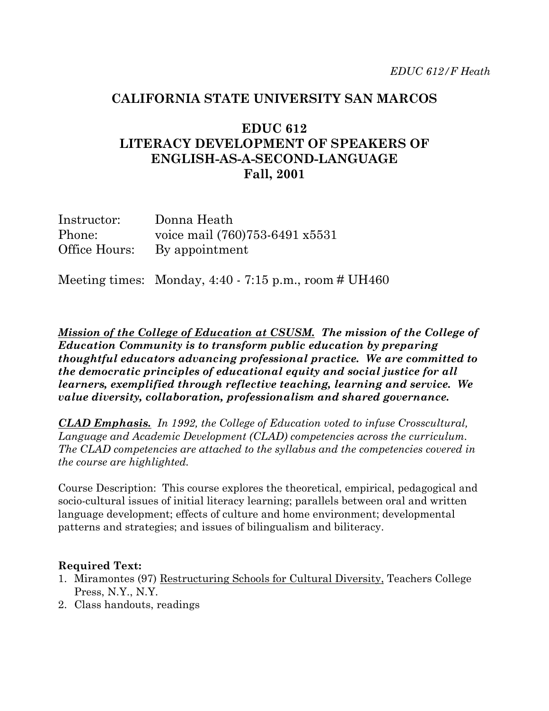## **CALIFORNIA STATE UNIVERSITY SAN MARCOS**

# **EDUC 612 LITERACY DEVELOPMENT OF SPEAKERS OF ENGLISH-AS-A-SECOND-LANGUAGE Fall, 2001**

| Instructor:   | Donna Heath                    |
|---------------|--------------------------------|
| Phone:        | voice mail (760)753-6491 x5531 |
| Office Hours: | By appointment                 |

Meeting times: Monday,  $4:40 - 7:15$  p.m., room # UH460

*Mission of the College of Education at CSUSM. The mission of the College of Education Community is to transform public education by preparing thoughtful educators advancing professional practice. We are committed to the democratic principles of educational equity and social justice for all learners, exemplified through reflective teaching, learning and service. We value diversity, collaboration, professionalism and shared governance.*

*CLAD Emphasis. In 1992, the College of Education voted to infuse Crosscultural, Language and Academic Development (CLAD) competencies across the curriculum. The CLAD competencies are attached to the syllabus and the competencies covered in the course are highlighted.*

Course Description: This course explores the theoretical, empirical, pedagogical and socio-cultural issues of initial literacy learning; parallels between oral and written language development; effects of culture and home environment; developmental patterns and strategies; and issues of bilingualism and biliteracy.

#### **Required Text:**

- 1. Miramontes (97) Restructuring Schools for Cultural Diversity, Teachers College Press, N.Y., N.Y.
- 2. Class handouts, readings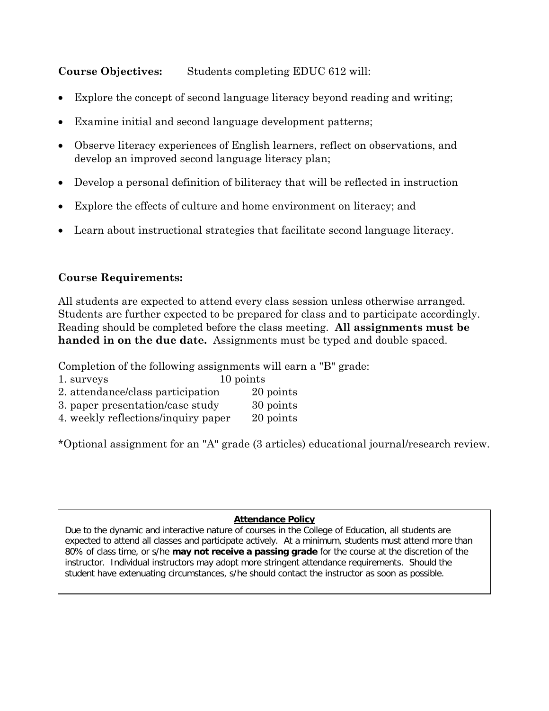**Course Objectives:** Students completing EDUC 612 will:

- Explore the concept of second language literacy beyond reading and writing;
- Examine initial and second language development patterns;
- Observe literacy experiences of English learners, reflect on observations, and develop an improved second language literacy plan;
- Develop a personal definition of biliteracy that will be reflected in instruction
- Explore the effects of culture and home environment on literacy; and
- Learn about instructional strategies that facilitate second language literacy.

## **Course Requirements:**

All students are expected to attend every class session unless otherwise arranged. Students are further expected to be prepared for class and to participate accordingly. Reading should be completed before the class meeting. **All assignments must be handed in on the due date.** Assignments must be typed and double spaced.

Completion of the following assignments will earn a "B" grade:

- 1. surveys 10 points
- 2. attendance/class participation 20 points
- 3. paper presentation/case study 30 points
- 4. weekly reflections/inquiry paper 20 points

\*Optional assignment for an "A" grade (3 articles) educational journal/research review.

#### **Attendance Policy**

Due to the dynamic and interactive nature of courses in the College of Education, all students are expected to attend all classes and participate actively. At a minimum, students must attend more than 80% of class time, or s/he **may not receive a passing grade** for the course at the discretion of the instructor. Individual instructors may adopt more stringent attendance requirements. Should the student have extenuating circumstances, s/he should contact the instructor as soon as possible.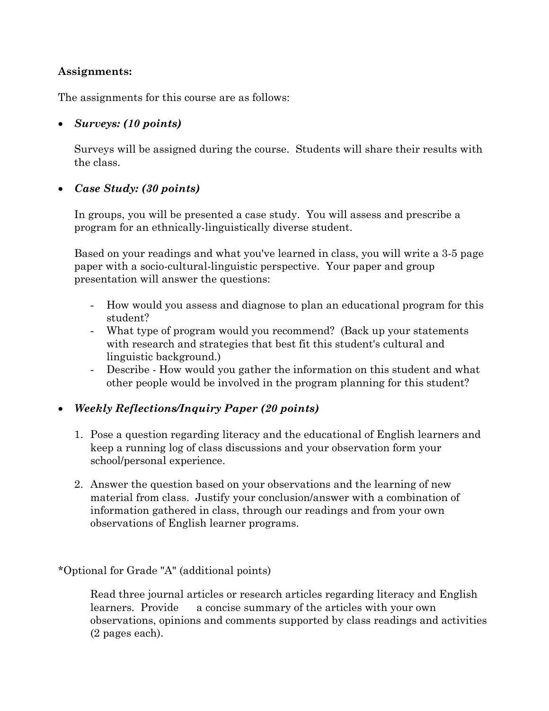#### **Assignments:**

The assignments for this course are as follows:

## • *Surveys: (10 points)*

Surveys will be assigned during the course. Students will share their results with the class.

## • *Case Study: (30 points)*

In groups, you will be presented a case study. You will assess and prescribe a program for an ethnically-linguistically diverse student.

Based on your readings and what you've learned in class, you will write a 3-5 page paper with a socio-cultural-linguistic perspective. Your paper and group presentation will answer the questions:

- How would you assess and diagnose to plan an educational program for this student?
- What type of program would you recommend? (Back up your statements with research and strategies that best fit this student's cultural and linguistic background.)
- Describe How would you gather the information on this student and what other people would be involved in the program planning for this student?

## • *Weekly Reflections/Inquiry Paper (20 points)*

- 1. Pose a question regarding literacy and the educational of English learners and keep a running log of class discussions and your observation form your school/personal experience.
- 2. Answer the question based on your observations and the learning of new material from class. Justify your conclusion/answer with a combination of information gathered in class, through our readings and from your own observations of English learner programs.

\*Optional for Grade "A" (additional points)

Read three journal articles or research articles regarding literacy and English learners. Provide a concise summary of the articles with your own observations, opinions and comments supported by class readings and activities (2 pages each).